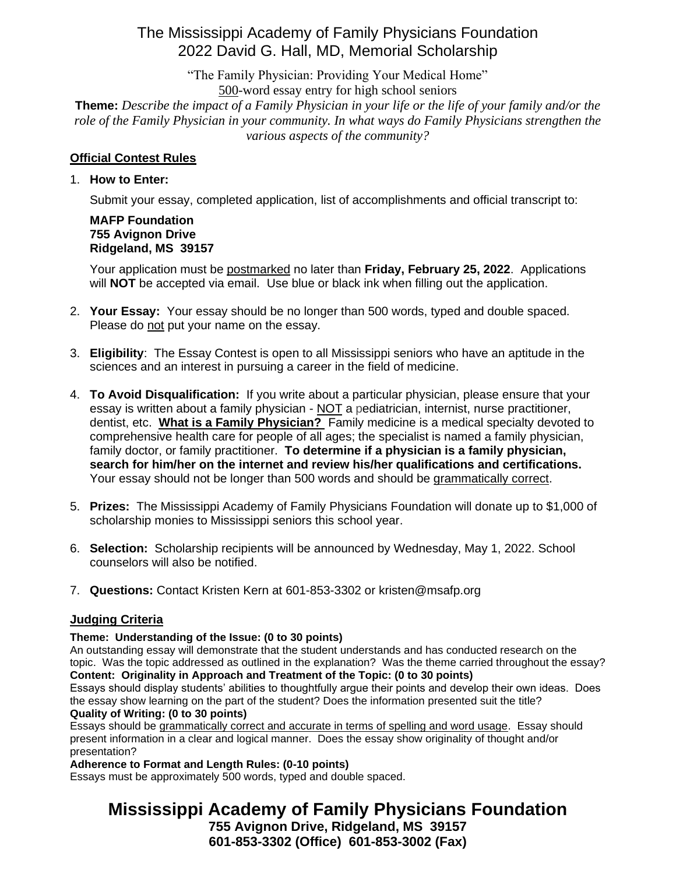### The Mississippi Academy of Family Physicians Foundation 2022 David G. Hall, MD, Memorial Scholarship

"The Family Physician: Providing Your Medical Home" 500-word essay entry for high school seniors

**Theme:** *Describe the impact of a Family Physician in your life or the life of your family and/or the role of the Family Physician in your community. In what ways do Family Physicians strengthen the various aspects of the community?*

### **Official Contest Rules**

#### 1. **How to Enter:**

Submit your essay, completed application, list of accomplishments and official transcript to:

#### **MAFP Foundation 755 Avignon Drive Ridgeland, MS 39157**

Your application must be postmarked no later than **Friday, February 25, 2022**. Applications will **NOT** be accepted via email. Use blue or black ink when filling out the application.

- 2. **Your Essay:** Your essay should be no longer than 500 words, typed and double spaced. Please do not put your name on the essay.
- 3. **Eligibility**: The Essay Contest is open to all Mississippi seniors who have an aptitude in the sciences and an interest in pursuing a career in the field of medicine.
- 4. **To Avoid Disqualification:** If you write about a particular physician, please ensure that your essay is written about a family physician - NOT a pediatrician, internist, nurse practitioner, dentist, etc. **What is a Family Physician?** Family medicine is a medical specialty devoted to comprehensive health care for people of all ages; the specialist is named a family physician, family doctor, or family practitioner. **To determine if a physician is a family physician, search for him/her on the internet and review his/her qualifications and certifications.** Your essay should not be longer than 500 words and should be grammatically correct.
- 5. **Prizes:** The Mississippi Academy of Family Physicians Foundation will donate up to \$1,000 of scholarship monies to Mississippi seniors this school year.
- 6. **Selection:** Scholarship recipients will be announced by Wednesday, May 1, 2022. School counselors will also be notified.
- 7. **Questions:** Contact Kristen Kern at 601-853-3302 or kristen@msafp.org

#### **Judging Criteria**

#### **Theme: Understanding of the Issue: (0 to 30 points)**

An outstanding essay will demonstrate that the student understands and has conducted research on the topic. Was the topic addressed as outlined in the explanation? Was the theme carried throughout the essay? **Content: Originality in Approach and Treatment of the Topic: (0 to 30 points)**

Essays should display students' abilities to thoughtfully argue their points and develop their own ideas. Does the essay show learning on the part of the student? Does the information presented suit the title? **Quality of Writing: (0 to 30 points)**

Essays should be grammatically correct and accurate in terms of spelling and word usage. Essay should present information in a clear and logical manner. Does the essay show originality of thought and/or presentation?

**Adherence to Format and Length Rules: (0-10 points)**

Essays must be approximately 500 words, typed and double spaced.

# **Mississippi Academy of Family Physicians Foundation**

**755 Avignon Drive, Ridgeland, MS 39157 601-853-3302 (Office) 601-853-3002 (Fax)**